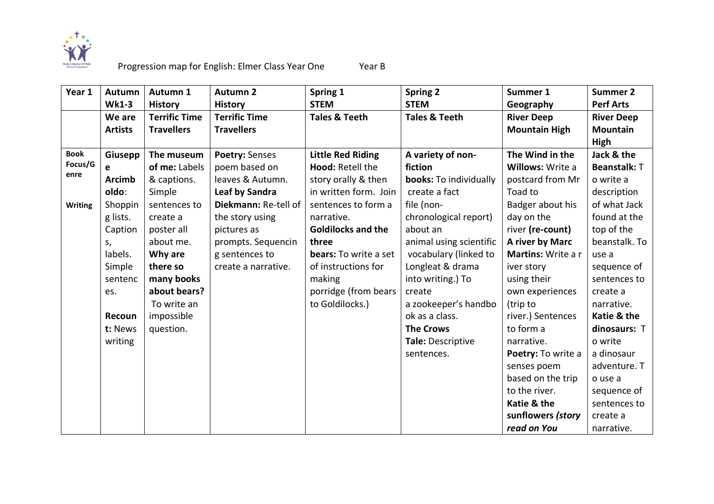

| Year 1         | Autumn         | Autumn 1             | <b>Autumn 2</b>      | Spring 1                  | <b>Spring 2</b>          | Summer 1             | <b>Summer 2</b>   |
|----------------|----------------|----------------------|----------------------|---------------------------|--------------------------|----------------------|-------------------|
|                | <b>Wk1-3</b>   | <b>History</b>       | <b>History</b>       | <b>STEM</b>               | <b>STEM</b>              | Geography            | <b>Perf Arts</b>  |
|                | We are         | <b>Terrific Time</b> | <b>Terrific Time</b> | <b>Tales &amp; Teeth</b>  | <b>Tales &amp; Teeth</b> | <b>River Deep</b>    | <b>River Deep</b> |
|                | <b>Artists</b> | <b>Travellers</b>    | <b>Travellers</b>    |                           |                          | <b>Mountain High</b> | <b>Mountain</b>   |
|                |                |                      |                      |                           |                          |                      | High              |
| <b>Book</b>    | Giusepp        | The museum           | Poetry: Senses       | <b>Little Red Riding</b>  | A variety of non-        | The Wind in the      | Jack & the        |
| Focus/G        | e              | of me: Labels        | poem based on        | Hood: Retell the          | fiction                  | Willows: Write a     | Beanstalk: T      |
| enre           | <b>Arcimb</b>  | & captions.          | leaves & Autumn.     | story orally & then       | books: To individually   | postcard from Mr     | o write a         |
|                | oldo:          | Simple               | Leaf by Sandra       | in written form. Join     | create a fact            | Toad to              | description       |
| <b>Writing</b> | Shoppin        | sentences to         | Diekmann: Re-tell of | sentences to form a       | file (non-               | Badger about his     | of what Jack      |
|                | g lists.       | create a             | the story using      | narrative.                | chronological report)    | day on the           | found at the      |
|                | Caption        | poster all           | pictures as          | <b>Goldilocks and the</b> | about an                 | river (re-count)     | top of the        |
|                | S,             | about me.            | prompts. Sequencin   | three                     | animal using scientific  | A river by Marc      | beanstalk. To     |
|                | labels.        | Why are              | g sentences to       | bears: To write a set     | vocabulary (linked to    | Martins: Write a r   | use a             |
|                | Simple         | there so             | create a narrative.  | of instructions for       | Longleat & drama         | iver story           | sequence of       |
|                | sentenc        | many books           |                      | making                    | into writing.) To        | using their          | sentences to      |
|                | es.            | about bears?         |                      | porridge (from bears      | create                   | own experiences      | create a          |
|                |                | To write an          |                      | to Goldilocks.)           | a zookeeper's handbo     | (trip to             | narrative.        |
|                | Recoun         | impossible           |                      |                           | ok as a class.           | river.) Sentences    | Katie & the       |
|                | t: News        | question.            |                      |                           | <b>The Crows</b>         | to form a            | dinosaurs: T      |
|                | writing        |                      |                      |                           | Tale: Descriptive        | narrative.           | o write           |
|                |                |                      |                      |                           | sentences.               | Poetry: To write a   | a dinosaur        |
|                |                |                      |                      |                           |                          | senses poem          | adventure. T      |
|                |                |                      |                      |                           |                          | based on the trip    | o use a           |
|                |                |                      |                      |                           |                          | to the river.        | sequence of       |
|                |                |                      |                      |                           |                          | Katie & the          | sentences to      |
|                |                |                      |                      |                           |                          | sunflowers (story    | create a          |
|                |                |                      |                      |                           |                          | read on You          | narrative.        |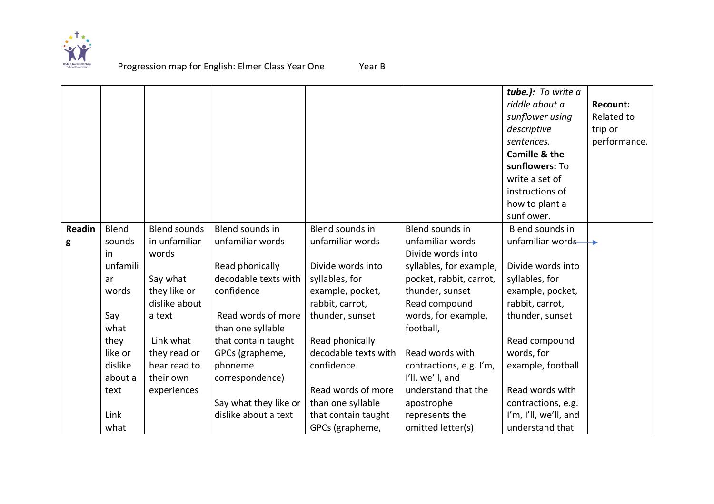

|        |          |                     |                       |                      |                         | tube.): To write a    |              |
|--------|----------|---------------------|-----------------------|----------------------|-------------------------|-----------------------|--------------|
|        |          |                     |                       |                      |                         | riddle about a        | Recount:     |
|        |          |                     |                       |                      |                         | sunflower using       | Related to   |
|        |          |                     |                       |                      |                         | descriptive           | trip or      |
|        |          |                     |                       |                      |                         | sentences.            | performance. |
|        |          |                     |                       |                      |                         | Camille & the         |              |
|        |          |                     |                       |                      |                         | sunflowers: To        |              |
|        |          |                     |                       |                      |                         | write a set of        |              |
|        |          |                     |                       |                      |                         | instructions of       |              |
|        |          |                     |                       |                      |                         | how to plant a        |              |
|        |          |                     |                       |                      |                         | sunflower.            |              |
| Readin | Blend    | <b>Blend sounds</b> | Blend sounds in       | Blend sounds in      | Blend sounds in         | Blend sounds in       |              |
| g      | sounds   | in unfamiliar       | unfamiliar words      | unfamiliar words     | unfamiliar words        | unfamiliar words      |              |
|        | in       | words               |                       |                      | Divide words into       |                       |              |
|        | unfamili |                     | Read phonically       | Divide words into    | syllables, for example, | Divide words into     |              |
|        | ar       | Say what            | decodable texts with  | syllables, for       | pocket, rabbit, carrot, | syllables, for        |              |
|        | words    | they like or        | confidence            | example, pocket,     | thunder, sunset         | example, pocket,      |              |
|        |          | dislike about       |                       | rabbit, carrot,      | Read compound           | rabbit, carrot,       |              |
|        | Say      | a text              | Read words of more    | thunder, sunset      | words, for example,     | thunder, sunset       |              |
|        | what     |                     | than one syllable     |                      | football,               |                       |              |
|        | they     | Link what           | that contain taught   | Read phonically      |                         | Read compound         |              |
|        | like or  | they read or        | GPCs (grapheme,       | decodable texts with | Read words with         | words, for            |              |
|        | dislike  | hear read to        | phoneme               | confidence           | contractions, e.g. I'm, | example, football     |              |
|        | about a  | their own           | correspondence)       |                      | I'll, we'll, and        |                       |              |
|        | text     | experiences         |                       | Read words of more   | understand that the     | Read words with       |              |
|        |          |                     | Say what they like or | than one syllable    | apostrophe              | contractions, e.g.    |              |
|        | Link     |                     | dislike about a text  | that contain taught  | represents the          | I'm, I'll, we'll, and |              |
|        | what     |                     |                       | GPCs (grapheme,      | omitted letter(s)       | understand that       |              |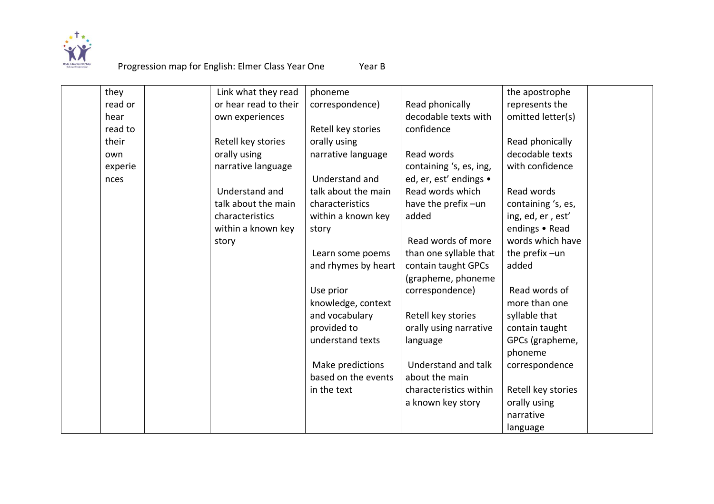

| they    | Link what they read   | phoneme             |                         | the apostrophe     |
|---------|-----------------------|---------------------|-------------------------|--------------------|
| read or | or hear read to their | correspondence)     | Read phonically         | represents the     |
| hear    | own experiences       |                     | decodable texts with    | omitted letter(s)  |
| read to |                       |                     | confidence              |                    |
|         |                       | Retell key stories  |                         |                    |
| their   | Retell key stories    | orally using        |                         | Read phonically    |
| own     | orally using          | narrative language  | Read words              | decodable texts    |
| experie | narrative language    |                     | containing 's, es, ing, | with confidence    |
| nces    |                       | Understand and      | ed, er, est' endings •  |                    |
|         | Understand and        | talk about the main | Read words which        | Read words         |
|         | talk about the main   | characteristics     | have the prefix-un      | containing 's, es, |
|         | characteristics       | within a known key  | added                   | ing, ed, er, est'  |
|         | within a known key    | story               |                         | endings • Read     |
|         | story                 |                     | Read words of more      | words which have   |
|         |                       | Learn some poems    | than one syllable that  | the prefix-un      |
|         |                       | and rhymes by heart | contain taught GPCs     | added              |
|         |                       |                     | (grapheme, phoneme      |                    |
|         |                       | Use prior           | correspondence)         | Read words of      |
|         |                       | knowledge, context  |                         | more than one      |
|         |                       | and vocabulary      | Retell key stories      | syllable that      |
|         |                       | provided to         | orally using narrative  | contain taught     |
|         |                       | understand texts    | language                | GPCs (grapheme,    |
|         |                       |                     |                         | phoneme            |
|         |                       | Make predictions    | Understand and talk     | correspondence     |
|         |                       | based on the events | about the main          |                    |
|         |                       | in the text         | characteristics within  | Retell key stories |
|         |                       |                     | a known key story       | orally using       |
|         |                       |                     |                         | narrative          |
|         |                       |                     |                         | language           |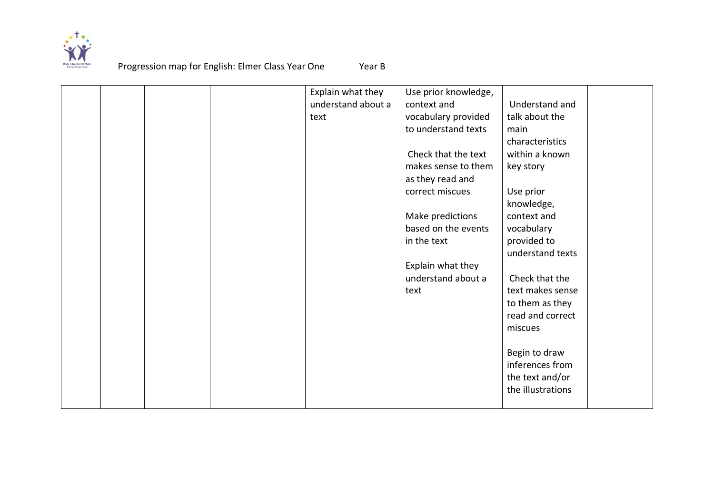

|  |  | Explain what they  | Use prior knowledge, |                   |
|--|--|--------------------|----------------------|-------------------|
|  |  | understand about a | context and          | Understand and    |
|  |  | text               | vocabulary provided  | talk about the    |
|  |  |                    | to understand texts  | main              |
|  |  |                    |                      | characteristics   |
|  |  |                    | Check that the text  | within a known    |
|  |  |                    | makes sense to them  | key story         |
|  |  |                    | as they read and     |                   |
|  |  |                    | correct miscues      | Use prior         |
|  |  |                    |                      | knowledge,        |
|  |  |                    | Make predictions     | context and       |
|  |  |                    | based on the events  | vocabulary        |
|  |  |                    | in the text          | provided to       |
|  |  |                    |                      | understand texts  |
|  |  |                    | Explain what they    |                   |
|  |  |                    | understand about a   | Check that the    |
|  |  |                    | text                 | text makes sense  |
|  |  |                    |                      |                   |
|  |  |                    |                      | to them as they   |
|  |  |                    |                      | read and correct  |
|  |  |                    |                      | miscues           |
|  |  |                    |                      |                   |
|  |  |                    |                      | Begin to draw     |
|  |  |                    |                      | inferences from   |
|  |  |                    |                      | the text and/or   |
|  |  |                    |                      | the illustrations |
|  |  |                    |                      |                   |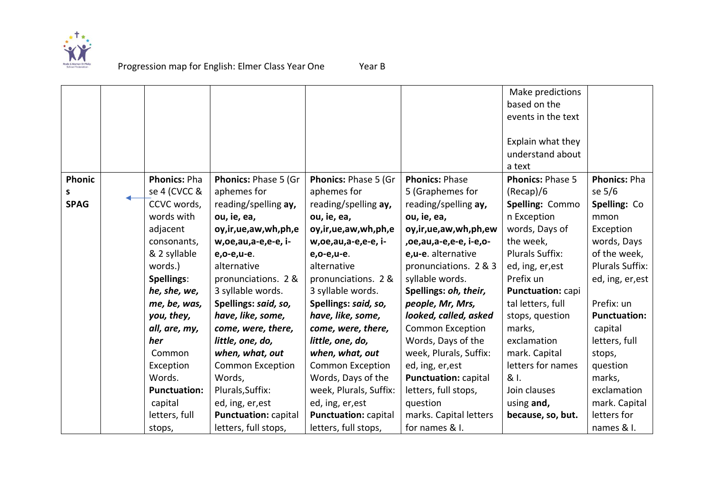

|               |                     |                             |                             |                             | Make predictions        |                        |
|---------------|---------------------|-----------------------------|-----------------------------|-----------------------------|-------------------------|------------------------|
|               |                     |                             |                             |                             | based on the            |                        |
|               |                     |                             |                             |                             | events in the text      |                        |
|               |                     |                             |                             |                             |                         |                        |
|               |                     |                             |                             |                             | Explain what they       |                        |
|               |                     |                             |                             |                             | understand about        |                        |
|               |                     |                             |                             |                             | a text                  |                        |
| <b>Phonic</b> | <b>Phonics: Pha</b> | Phonics: Phase 5 (Gr        | Phonics: Phase 5 (Gr        | <b>Phonics: Phase</b>       | <b>Phonics: Phase 5</b> | <b>Phonics: Pha</b>    |
| s             | se 4 (CVCC &        | aphemes for                 | aphemes for                 | 5 (Graphemes for            | (Recap)/6               | se 5/6                 |
| <b>SPAG</b>   | CCVC words,         | reading/spelling ay,        | reading/spelling ay,        | reading/spelling ay,        | Spelling: Commo         | Spelling: Co           |
|               | words with          | ou, ie, ea,                 | ou, ie, ea,                 | ou, ie, ea,                 | n Exception             | mmon                   |
|               | adjacent            | oy, ir, ue, aw, wh, ph, e   | oy, ir, ue, aw, wh, ph, e   | oy,ir,ue,aw,wh,ph,ew        | words, Days of          | Exception              |
|               | consonants,         | w,oe,au,a-e,e-e, i-         | w, oe, au, a-e, e-e, i-     | ,oe,au,a-e,e-e, i-e,o-      | the week,               | words, Days            |
|               | & 2 syllable        | e, o-e, u-e.                | e,o-e,u-e.                  | e,u-e. alternative          | <b>Plurals Suffix:</b>  | of the week,           |
|               | words.)             | alternative                 | alternative                 | pronunciations. 2 & 3       | ed, ing, er, est        | <b>Plurals Suffix:</b> |
|               | Spellings:          | pronunciations. 2 &         | pronunciations. 2 &         | syllable words.             | Prefix un               | ed, ing, er, est       |
|               | he, she, we,        | 3 syllable words.           | 3 syllable words.           | Spellings: oh, their,       | Punctuation: capi       |                        |
|               | me, be, was,        | Spellings: said, so,        | Spellings: said, so,        | people, Mr, Mrs,            | tal letters, full       | Prefix: un             |
|               | you, they,          | have, like, some,           | have, like, some,           | looked, called, asked       | stops, question         | <b>Punctuation:</b>    |
|               | all, are, my,       | come, were, there,          | come, were, there,          | <b>Common Exception</b>     | marks,                  | capital                |
|               | her                 | little, one, do,            | little, one, do,            | Words, Days of the          | exclamation             | letters, full          |
|               | Common              | when, what, out             | when, what, out             | week, Plurals, Suffix:      | mark. Capital           | stops,                 |
|               | Exception           | <b>Common Exception</b>     | <b>Common Exception</b>     | ed, ing, er, est            | letters for names       | question               |
|               | Words.              | Words,                      | Words, Days of the          | <b>Punctuation: capital</b> | & I.                    | marks,                 |
|               | <b>Punctuation:</b> | Plurals, Suffix:            | week, Plurals, Suffix:      | letters, full stops,        | Join clauses            | exclamation            |
|               | capital             | ed, ing, er, est            | ed, ing, er, est            | question                    | using and,              | mark. Capital          |
|               | letters, full       | <b>Punctuation: capital</b> | <b>Punctuation: capital</b> | marks. Capital letters      | because, so, but.       | letters for            |
|               | stops,              | letters, full stops,        | letters, full stops,        | for names & I.              |                         | names & I.             |